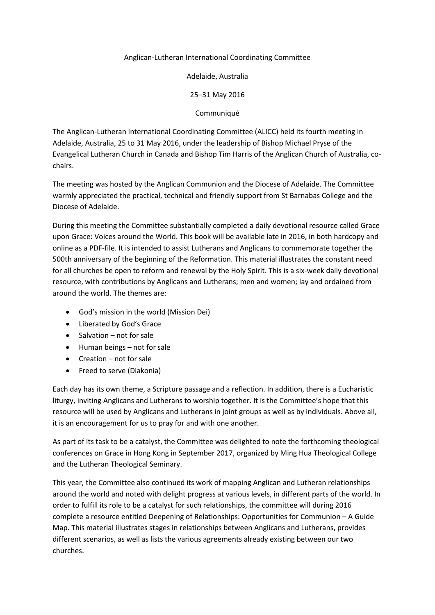# Anglican-Lutheran International Coordinating Committee

Adelaide, Australia

25–31 May 2016

Communiqué

The Anglican-Lutheran International Coordinating Committee (ALICC) held its fourth meeting in Adelaide, Australia, 25 to 31 May 2016, under the leadership of Bishop Michael Pryse of the Evangelical Lutheran Church in Canada and Bishop Tim Harris of the Anglican Church of Australia, cochairs.

The meeting was hosted by the Anglican Communion and the Diocese of Adelaide. The Committee warmly appreciated the practical, technical and friendly support from St Barnabas College and the Diocese of Adelaide.

During this meeting the Committee substantially completed a daily devotional resource called Grace upon Grace: Voices around the World. This book will be available late in 2016, in both hardcopy and online as a PDF-file. It is intended to assist Lutherans and Anglicans to commemorate together the 500th anniversary of the beginning of the Reformation. This material illustrates the constant need for all churches be open to reform and renewal by the Holy Spirit. This is a six-week daily devotional resource, with contributions by Anglicans and Lutherans; men and women; lay and ordained from around the world. The themes are:

- God's mission in the world (Mission Dei)
- Liberated by God's Grace
- Salvation not for sale
- Human beings not for sale
- Creation not for sale
- Freed to serve (Diakonia)

Each day has its own theme, a Scripture passage and a reflection. In addition, there is a Eucharistic liturgy, inviting Anglicans and Lutherans to worship together. It is the Committee's hope that this resource will be used by Anglicans and Lutherans in joint groups as well as by individuals. Above all, it is an encouragement for us to pray for and with one another.

As part of its task to be a catalyst, the Committee was delighted to note the forthcoming theological conferences on Grace in Hong Kong in September 2017, organized by Ming Hua Theological College and the Lutheran Theological Seminary.

This year, the Committee also continued its work of mapping Anglican and Lutheran relationships around the world and noted with delight progress at various levels, in different parts of the world. In order to fulfill its role to be a catalyst for such relationships, the committee will during 2016 complete a resource entitled Deepening of Relationships: Opportunities for Communion – A Guide Map. This material illustrates stages in relationships between Anglicans and Lutherans, provides different scenarios, as well as lists the various agreements already existing between our two churches.